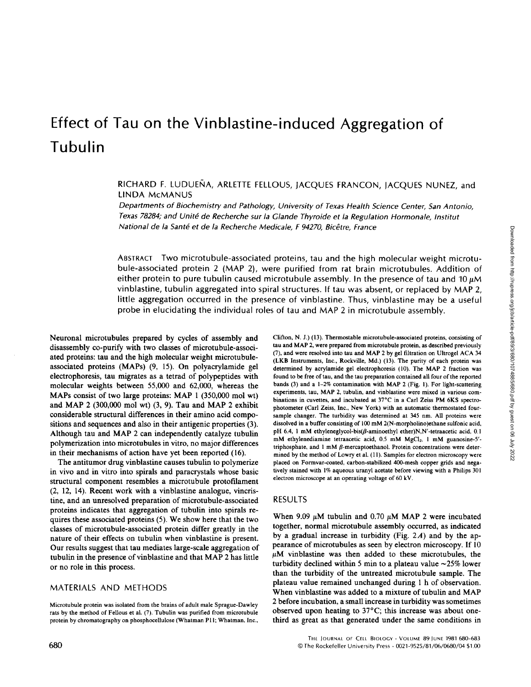# Effect of Tau on the Vinblastine-induced Aggregation of Tubulin

## RICHARD F. LUDUENA, ARLETTE FELLOUS, JACQUES FRANCON, JACQUES NUNEZ, and LINDA McMANUS

Departments of Biochemistry and Pathology, University of Texas Health Science Center, San Antonio, Texas 78284; and Unité de Recherche sur la Glande Thyroide et la Regulation Hormonale, Institut National de la Sante et de la Recherche Medicale, F 94270, Bicetre, France

ABSTRACT Two microtubule-associated proteins, tau and the high molecular weight microtubule-associated protein 2 (MAP 2), were purified from rat brain microtubules. Addition of either protein to pure tubulin caused microtubule assembly. In the presence of tau and 10  $\mu$ M vinblastine, tubulin aggregated into spiral structures . If tau was absent, or replaced by MAP 2, little aggregation occurred in the presence of vinblastine. Thus, vinblastine may be a useful probe in elucidating the individual roles of tau and MAP <sup>2</sup> in microtubule assembly.

Neuronal microtubules prepared by cycles of assembly and disassembly co-purify with two classes of microtubule-associated proteins: tau and the high molecular weight microtubuleassociated proteins (MAPs) (9, 15). On polyacrylamide gel electrophoresis, tau migrates as a tetrad of polypeptides with molecular weights between 55,000 and 62,000, whereas the MAPs consist of two large proteins: MAP 1 (350,000 mol wt) and MAP <sup>2</sup> (300,000 mol wt) (3, 9) . Tau and MAP <sup>2</sup> exhibit considerable structural differences in their amino acid compositions and sequences and also in their antigenic properties (3). Although tau and MAP <sup>2</sup> can independently catalyze tubulin polymerization into microtubules in vitro, no major differences in their mechanisms of action have yet been reported (16).

The antitumor drug vinblastine causes tubulin to polymerize in vivo and in vitro into spirals and paracrystals whose basic structural component resembles a microtubule protofilament (2, 12, 14) . Recent work with a vinblastine analogue, vincristine, and an unresolved preparation of microtubule-associated proteins indicates that aggregation of tubulin into spirals requires these associated proteins (5). We show here that the two classes of microtubule-associated protein differ greatly in the nature of their effects on tubulin when vinblastine is present. Our results suggest that tau mediates large-scale aggregation of tubulin in the presence of vinblastine and that MAP 2 has little or no role in this process.

## MATERIALS AND METHODS

Microtubule protein was isolated from the brains of adult male Sprague-Dawley rats by the method of Fellous et al. (7). Tubulin was purified from microtubule protein by chromatography on phosphocellulose (Whatman P11; Whatman, Inc., Clifton, N. J.) (l3) Thermostable microtubule-associated proteins, consisting of tau and MAP 2, were prepared from microtubule protein, as described previously (7), and were resolved into tau and MAP <sup>2</sup> by gel filtration on Ultrogel ACA34 (LKB Instruments, Inc., Rockville, Md.) (13) . The purity of each protein was determined by acrylamide gel electrophoresis (10). The MAP 2 fraction was found to be free of tau, and the tau preparation contained all four of the reported bands (3) and <sup>a</sup> 1-2% contamination with MAP <sup>2</sup> (Fig. 1). For light-scattering experiments, tau, MAP 2, tubulin, and vinblastine were mixed in various combinations in cuvettes, and incubated at 37°C in a Carl Zeiss PM 6KS spectrophotometer (Carl Zeiss, Inc., New York) with an automatic thermostated foursample changer. The turbidity was determined at <sup>345</sup> nm. All proteins were dissolved in <sup>a</sup> buffer consisting of <sup>100</sup> mM 2(N-morpholino)ethane sulfonic acid, pH 6.4, 1 mM ethyleneglycol-bis( $\beta$ -aminoethyl ether)N,N'-tetraacetic acid, 0.1 mM ethylenediamine tetraacetic acid, 0.5 mM MgCl<sub>2</sub>, 1 mM guanosine-5'triphosphate, and  $1 \text{ mM } \beta$ -mercaptoethanol. Protein concentrations were determined by the method of Lowry et al . (11). Samples for electron microscopy were placed on Formvar-coated, carbon-stabilized 400-mesh copper grids and negatively stained with 1% aqueous uranyl acetate before viewing with a Philips 301 electron microscope at an operating voltage of <sup>60</sup> kV.

### RESULTS

When 9.09  $\mu$ M tubulin and 0.70  $\mu$ M MAP 2 were incubated together, normal microtubule assembly occurred, as indicated by a gradual increase in turbidity (Fig. 2A) and by the appearance of microtubules as seen by electron microscopy. If 10  $\mu$ M vinblastine was then added to these microtubules, the turbidity declined within 5 min to a plateau value  $\sim$ 25% lower than the turbidity of the untreated microtubule sample. The plateau value remained unchanged during <sup>1</sup> h of observation. When vinblastine was added to <sup>a</sup> mixture of tubulin and MAP 2 before incubation, a small increase in turbidity was sometimes observed upon heating to 37°C; this increase was about onethird as great as that generated under the same conditions in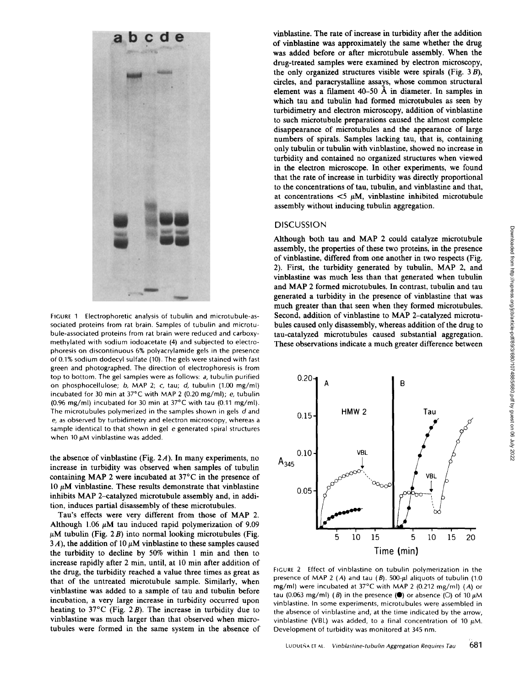

FIGURE <sup>1</sup> Electrophoretic analysis of tubulin and microtubule-associated proteins from rat brain. Samples of tubulin and microtubule-associated proteins from rat brain were reduced and carboxymethylated with sodium iodoacetate (4) and subjected to electrophoresis on discontinuous 6% polyacrylamide gels in the presence of 0.1% sodium dodecyl sulfate (10) The gels were stained with fast green and photographed. The direction of electrophoresis is from top to bottom. The gel samples were as follows: a, tubulin purified on phosphocellulose; b, MAP 2; c, tau;  $d$ , tubulin (1.00 mg/ml) incubated for 30 min at 37°C with MAP 2 (0.20 mg/ml); e, tubulin (0.96 mg/ml) incubated for 30 min at  $37^{\circ}$ C with tau (0.11 mg/ml). The microtubules polymerized in the samples shown in gels  $d$  and e, as observed by turbidimetry and electron microscopy, whereas a sample identical to that shown in gel <sup>e</sup> generated spiral structures when 10  $\mu$ M vinblastine was added.

the absence of vinblastine (Fig.  $2A$ ). In many experiments, no increase in turbidity was observed when samples of tubulin containing MAP <sup>2</sup> were incubated at 37°C in the presence of 10  $\mu$ M vinblastine. These results demonstrate that vinblastine inhibits MAP 2-catalyzed microtubule assembly and, in addition, induces partial disassembly of these microtubules.

Tau's effects were very different from those of MAP 2. Although 1.06  $\mu$ M tau induced rapid polymerization of 9.09  $\mu$ M tubulin (Fig. 2B) into normal looking microtubules (Fig.  $3A$ ), the addition of 10  $\mu$ M vinblastine to these samples caused the turbidity to decline by 50% within <sup>1</sup> min and then to increase rapidly after 2 min, until, at <sup>10</sup> min after addition of the drug, the turbidity reached a value three times as great as that of the untreated microtubule sample. Similarly, when vinblastine was added to a sample of tau and tubulin before incubation, a very large increase in turbidity occurred upon heating to  $37^{\circ}$ C (Fig. 2B). The increase in turbidity due to vinblastine was much larger than that observed when microtubules were formed in the same system in the absence of vinblastine. The rate of increase in turbidity after the addition of vinblastine was approximately the same whether the drug was added before or after microtubule assembly. When the drug-treated samples were examined by electron microscopy, the only organized structures visible were spirals (Fig.  $3B$ ), circles, and paracrystalline assays, whose common structural element was a filament 40-50 A in diameter. In samples in which tau and tubulin had formed microtubules as seen by turbidimetry and electron microscopy, addition of vinblastine to such microtubule preparations caused the almost complete disappearance of microtubules and the appearance of large numbers of spirals. Samples lacking tau, that is, containing only tubulin or tubulin with vinblastine, showed no increase in turbidity and contained no organized structures when viewed in the electron microscope. In other experiments, we found that the rate of increase in turbidity was directly proportional to the concentrations of tau, tubulin, and vinblastine and that, at concentrations  $\lt 5$   $\mu$ M, vinblastine inhibited microtubule assembly without inducing tubulin aggregation.

## DISCUSSION

Although both tau and MAP <sup>2</sup> could catalyze microtubule assembly, the properties of these two proteins, in the presence of vinblastine, differed from one another in two respects (Fig. 2). First, the turbidity generated by tubulin, MAP 2, and vinblastine was much less than that generated when tubulin and MAP <sup>2</sup> formed microtubules. In contrast, tubulin and tau generated a turbidity in the presence of vinblastine that was much greater than that seen when they formed microtubules. Second, addition of vinblastine to MAP 2-catalyzed microtubules caused only disassembly, whereas addition of the drug to tau-catalyzed microtubules caused substantial aggregation. These observations indicate a much greater difference between



FIGURE 2 Effect of vinblastine on tubulin polymerization in the presence of MAP 2 (A) and tau (B). 500- $\mu$ l aliquots of tubulin (1.0 mg/ml) were incubated at  $37^{\circ}$ C with MAP 2 (0.212 mg/ml) (A) or tau (0.063 mg/ml) (B) in the presence ( $\bullet$ ) or absence (O) of 10  $\mu$ M vinblastine. In some experiments, microtubules were assembled in the absence of vinblastine and, at the time indicated by the arrow, vinblastine (VBL) was added, to a final concentration of 10  $\mu$ M. Development of turbidity was monitored at 345 nm.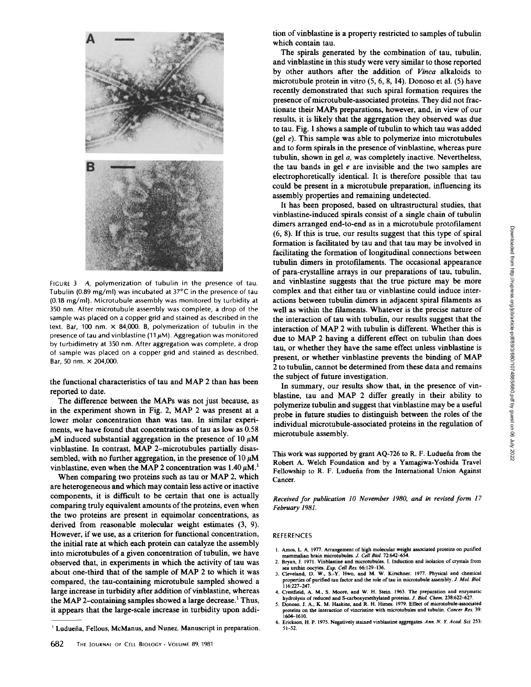

FIGURE 3 A, polymerization of tubulin in the presence of tau. Tubulin (0.89 mg/ml) was incubated at 37°C in the presence of tau (0 .18 mg/ml) . Microtubule assembly was monitored by turbidity at 350 nm. After microtubule assembly was complete, <sup>a</sup> drop of the sample was placed on a copper grid and stained as described in the text. Bar, 100 nm.  $\times$  84,000. B, polymerization of tubulin in the presence of tau and vinblastine (11 $\mu$ M). Aggregation was monitored by turbidimetry at 350 nm. After aggregation was complete, <sup>a</sup> drop of sample was placed on a copper grid and stained as described . Bar, 50 nm. × 204,000.

the functional characteristics of tau and MAP2 than has been reported to date.

The difference between the MAPS was not just because, as in the experiment shown in Fig. 2, MAP <sup>2</sup> was present at <sup>a</sup> lower molar concentration than was tau. In similar experiments, we have found that concentrations of tau as low as 0.58  $\mu$ M induced substantial aggregation in the presence of 10  $\mu$ M vinblastine. In contrast, MAP 2-microtubules partially disassembled, with no further aggregation, in the presence of 10  $\mu$ M vinblastine, even when the MAP 2 concentration was  $1.40 \mu M$ .<sup>1</sup>

When comparing two proteins such as tau or MAP 2, which are heterogeneous and which may contain less active or inactive components, it is difficult to be certain that one is actually comparing truly equivalent amounts of the proteins, even when the two proteins are present in equimolar concentrations, as derived from reasonable molecular weight estimates (3, 9). However, if we use, as a criterion for functional concentration, the initial rate at which each protein can catalyze the assembly into microtubules of a given concentration of tubulin, we have observed that, in experiments in which the activity of tau was about one-third that of the sample of MAP <sup>2</sup> to which it was compared, the tau-containing microtubule sampled showed a large increase in turbidity after addition of vinblastine, whereas the MAP 2-containing samples showed a large decrease.<sup>1</sup> Thus, it appears that the large-scale increase in turbidity upon addition of vinblastine is a property restricted to samples of tubulin which contain tau.

The spirals generated by the combination of tau, tubulin, and vinblastine in this study were very similar to those reported by other authors after the addition of Vinca alkaloids to microtubule protein in vitro (5, 6, 8, 14). Donoso et al . (5) have recently demonstrated that such spiral formation requires the presence of microtubule-associated proteins. They did not fractionate their MAPs preparations, however, and, in view of our results, it is likely that the aggregation they observed was due to tau. Fig. 1 shows a sample of tubulin to which tau was added (gel  $e$ ). This sample was able to polymerize into microtubules and to form spirals in the presence of vinblastine, whereas pure tubulin, shown in gel a, was completely inactive. Nevertheless, the tau bands in gel e are invisible and the two samples are electrophoretically identical. It is therefore possible that tau could be present in a microtubule preparation, influencing its assembly properties and remaining undetected .

It has been proposed, based on ultrastructural studies, that vinblastine-induced spirals consist of a single chain of tubulin dimers arranged end-to-end as in a microtubule protofilament (6, 8) . If this is true, our results suggest that this type of spiral formation is facilitated by tau and that tau may be involved in facilitating the formation of longitudinal connections between tubulin dimers in protofilaments. The occasional appearance of para-crystalline arrays in our preparations of tau, tubulin, and vinblastine suggests that the true picture may be more complex and that either tau or vinblastine could induce interactions between tubulin dimers in adjacent spiral filaments as well as within the filaments. Whatever is the precise nature of the interaction of tau with tubulin, our results suggest that the interaction of MAP <sup>2</sup> with tubulin is different. Whether this is due to MAP <sup>2</sup> having <sup>a</sup> different effect on tubulin than does tau, or whether they have the same effect unless vinblastine is present, or whether vinblastine prevents the binding of MAP 2 to tubulin, cannot be determined from these data and remains the subject of future investigation.

In summary, our results show that, in the presence of vinblastine, tau and MAP <sup>2</sup> differ greatly in their ability to polymerize tubulin and suggest that vinblastine may be a useful probe in future studies to distinguish between the roles of the individual microtubule-associated proteins in the regulation of microtubule assembly.

This work was supported by grant AQ-726 to R. F. Luduena from the Robert A. Welch Foundation and by <sup>a</sup> Yamagiwa-Yoshida Travel Fellowship to R. F. Ludueña from the International Union Against Cancer.

Received for publication 10 November 1980, and in revised form 17 February 1981.

#### REFERENCES

- 1. Amos, L. A. 1977. Arrangement of high molecular weight associated proteins on purified mammalian brain microtubules. J. Cell Biol. 72:642-654.
- 2. Bryan, J. 1971. Vinblastine and microtubules. I. Induction and isolation of crystals from
- sea urchin oocytes. Exp. Cell Res. 66:129-136.<br>3. Cleveland, D. W., S.-Y. Hwo, and M. W. Kirschner. 1977. Physical and chemical<br> $\frac{1}{2}$  Mel. 26:1 properties of purified tau factor and the role of tau in microtubule assembly. J. Mot. Biol 116:227-247 .
- 4. Crestfield, A. M., S. Moore, and W. H. Stein. 1963. The preparation and enzymatic
- hydrolysis of reduced and S-carboxymethylated proteins. J. Biol. Chem. 238:622-627.<br>5. Donoso, J. A., K. M. Haskins, and R. H. Himes. 1979. Effect of microtubule-associated proteins on the interaction of vineristine with microtubules and tubulin. Cancer Res 39: 1604-1610.
- 6. Erickson, H. P. 1975. Negatively stained vinblastine aggregates. Ann. N. Y. Acad. Sci. 253: 51-52 .

<sup>&</sup>lt;sup>1</sup> Ludueña, Fellous, McManus, and Nunez. Manuscript in preparation.